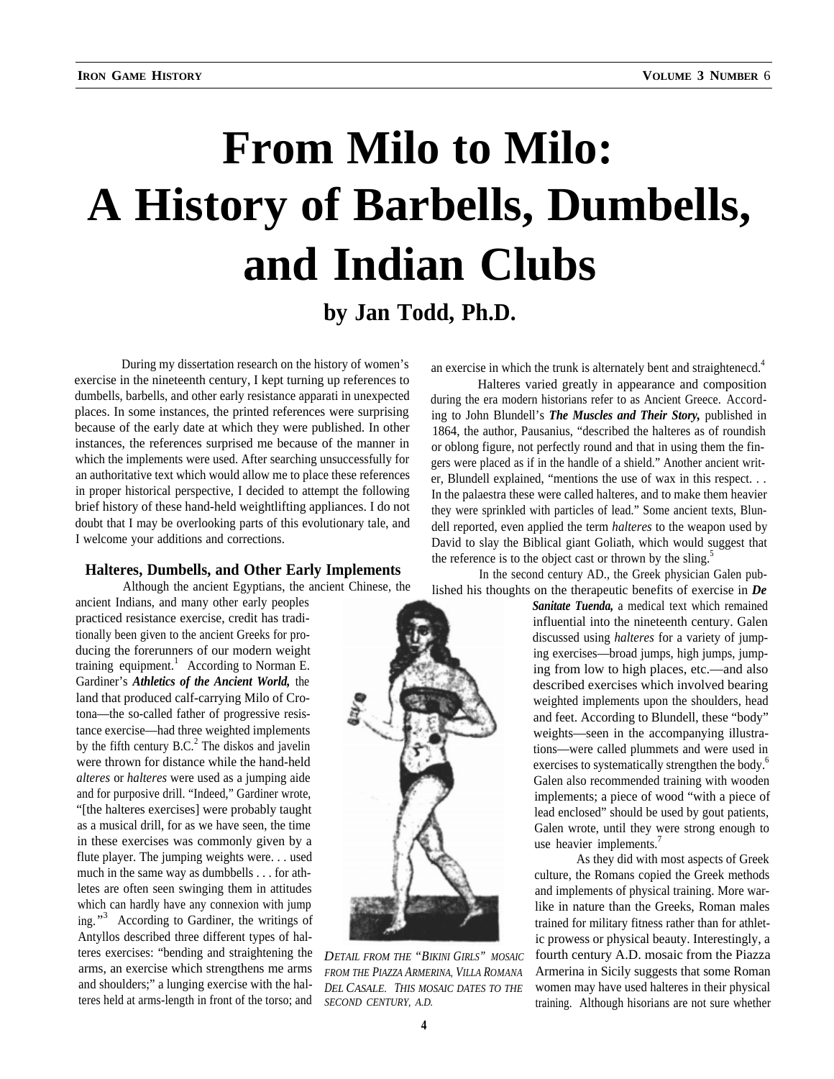# **From Milo to Milo: A History of Barbells, Dumbells, and Indian Clubs by Jan Todd, Ph.D.**

During my dissertation research on the history of women's exercise in the nineteenth century, I kept turning up references to exercise in the nineteenth century, I kept turning up references to<br>dumbells, barbells, and other early resistance apparati in unexpected during the era modern historians refer to as Ancient Greece. Accordplaces. In some instances, the printed references were surprising because of the early date at which they were published. In other instances, the references surprised me because of the manner in which the implements were used. After searching unsuccessfully for an authoritative text which would allow me to place these references in proper historical perspective, I decided to attempt the following brief history of these hand-held weightlifting appliances. I do not doubt that I may be overlooking parts of this evolutionary tale, and I welcome your additions and corrections.

Although the ancient Egyptians, the ancient Chinese, the

ancient Indians, and many other early peoples practiced resistance exercise, credit has traditionally been given to the ancient Greeks for producing the forerunners of our modern weight training equipment.<sup>1</sup> According to Norman E. Gardiner's *Athletics of the Ancient World,* the land that produced calf-carrying Milo of Crotona—the so-called father of progressive resistance exercise—had three weighted implements by the fifth century  $B.C.<sup>2</sup>$  The diskos and javelin were thrown for distance while the hand-held *alteres* or *halteres* were used as a jumping aide and for purposive drill. "Indeed," Gardiner wrote, "[the halteres exercises] were probably taught as a musical drill, for as we have seen, the time in these exercises was commonly given by a flute player. The jumping weights were. . . used much in the same way as dumbbells . . . for athletes are often seen swinging them in attitudes which can hardly have any connexion with jump ing."<sup>3</sup> According to Gardiner, the writings of Antyllos described three different types of halteres exercises: "bending and straightening the *DETAIL FROM THE "BIKINI GIRLS" MOSAIC*

an exercise in which the trunk is alternately bent and straighteneed.<sup>4</sup>

during the era modern historians refer to as Ancient Greece. According to John Blundell's *The Muscles and Their Story,* published in 1864, the author, Pausanius, "described the halteres as of roundish or oblong figure, not perfectly round and that in using them the fingers were placed as if in the handle of a shield." Another ancient writer, Blundell explained, "mentions the use of wax in this respect. . . In the palaestra these were called halteres, and to make them heavier they were sprinkled with particles of lead." Some ancient texts, Blundell reported, even applied the term *halteres* to the weapon used by David to slay the Biblical giant Goliath, which would suggest that **Halteres, Dumbells, and Other Early Implements** the reference is to the object cast or thrown by the sling.<sup>5</sup>

In the second century AD., the Greek physician Galen published his thoughts on the therapeutic benefits of exercise in *De*

*Sanitate Tuenda,* a medical text which remained influential into the nineteenth century. Galen discussed using *halteres* for a variety of jumping exercises—broad jumps, high jumps, jumping from low to high places, etc.—and also described exercises which involved bearing weighted implements upon the shoulders, head and feet. According to Blundell, these "body" weights—seen in the accompanying illustrations—were called plummets and were used in exercises to systematically strengthen the body.<sup>6</sup> Galen also recommended training with wooden implements; a piece of wood "with a piece of lead enclosed" should be used by gout patients, Galen wrote, until they were strong enough to use heavier implements.<sup>7</sup>

As they did with most aspects of Greek culture, the Romans copied the Greek methods and implements of physical training. More warlike in nature than the Greeks, Roman males trained for military fitness rather than for athletic prowess or physical beauty. Interestingly, a fourth century A.D. mosaic from the Piazza arms, an exercise which strengthens me arms *FROM THE PIAZZA ARMERINA, VILLA ROMANA* Armerina in Sicily suggests that some Roman and shoulders;" a lunging exercise with the hal-<br>*DEL CASALE* THIS MOSALE DATES TO THE women and shoulders;" a lunging exercise with the hal-<br>teres held at arms-length in front of the torso; and *SECOND CENTURY, A.D. training* Although hisorians are not sure whether **SECOND CENTURY, A.D.** training. Although hisorians are not sure whether

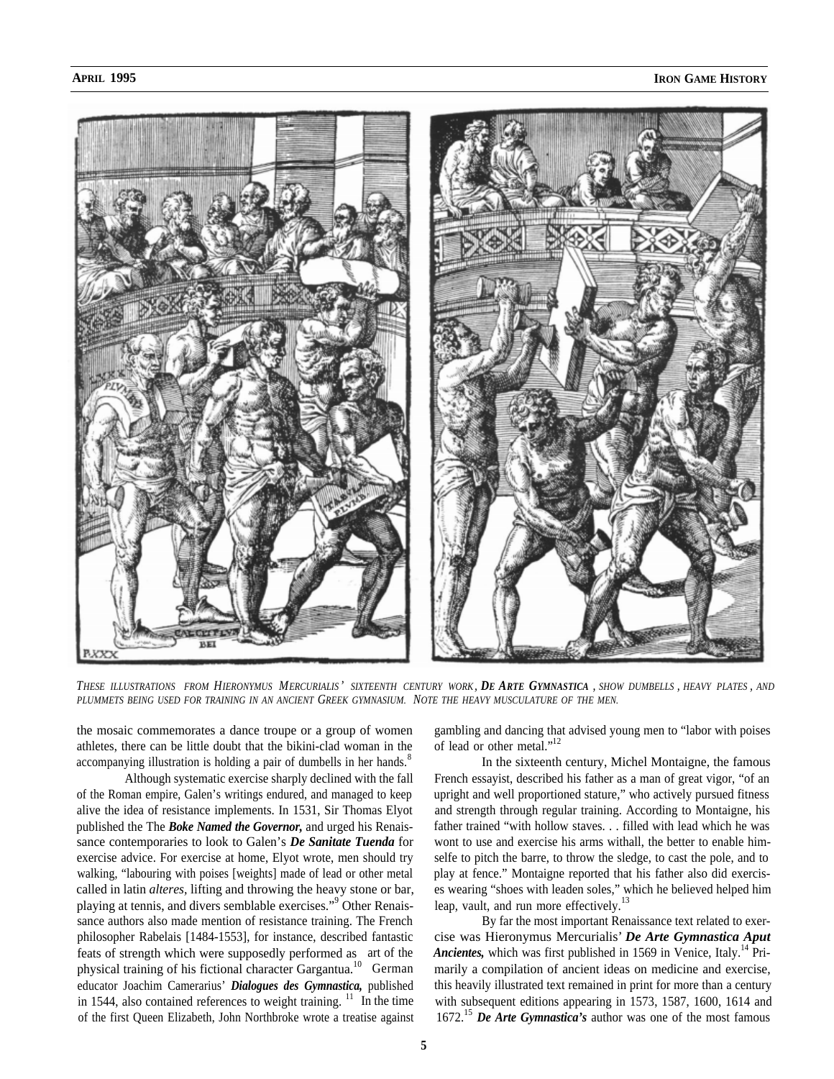

*THESE ILLUSTRATIONS FROM HIERONYMUS MERCURIALIS ' SIXTEENTH CENTURY WORK, DE ARTE GYMNASTICA , SHOW DUMBELLS , HEAVY PLATES , AND PLUMMETS BEING USED FOR TRAINING IN AN ANCIENT GREEK GYMNASIUM. NOTE THE HEAVY MUSCULATURE OF THE MEN.*

the mosaic commemorates a dance troupe or a group of women athletes, there can be little doubt that the bikini-clad woman in the accompanying illustration is holding a pair of dumbells in her hands.<sup>8</sup>

Although systematic exercise sharply declined with the fall of the Roman empire, Galen's writings endured, and managed to keep alive the idea of resistance implements. In 1531, Sir Thomas Elyot published the The *Boke Named the Governor,* and urged his Renaissance contemporaries to look to Galen's *De Sanitate Tuenda* for exercise advice. For exercise at home, Elyot wrote, men should try walking, "labouring with poises [weights] made of lead or other metal called in latin *alteres,* lifting and throwing the heavy stone or bar, playing at tennis, and divers semblable exercises."<sup>9</sup> Other Renaissance authors also made mention of resistance training. The French philosopher Rabelais [1484-1553], for instance, described fantastic feats of strength which were supposedly performed as art of the physical training of his fictional character Gargantua.<sup>10</sup> German educator Joachim Camerarius' *Dialogues des Gymnastica,* published in 1544, also contained references to weight training.  $\frac{11}{10}$  In the time of the first Queen Elizabeth, John Northbroke wrote a treatise against

gambling and dancing that advised young men to "labor with poises of lead or other metal."<sup>12</sup>

In the sixteenth century, Michel Montaigne, the famous French essayist, described his father as a man of great vigor, "of an upright and well proportioned stature," who actively pursued fitness and strength through regular training. According to Montaigne, his father trained "with hollow staves. . . filled with lead which he was wont to use and exercise his arms withall, the better to enable himselfe to pitch the barre, to throw the sledge, to cast the pole, and to play at fence." Montaigne reported that his father also did exercises wearing "shoes with leaden soles," which he believed helped him leap, vault, and run more effectively.<sup>13</sup>

By far the most important Renaissance text related to exercise was Hieronymus Mercurialis' *De Arte Gymnastica Aput Ancientes, which was first published in 1569 in Venice, Italy.*<sup>14</sup> Primarily a compilation of ancient ideas on medicine and exercise, this heavily illustrated text remained in print for more than a century with subsequent editions appearing in 1573, 1587, 1600, 1614 and 1672.<sup>15</sup> *De Arte Gymnastica's* author was one of the most famous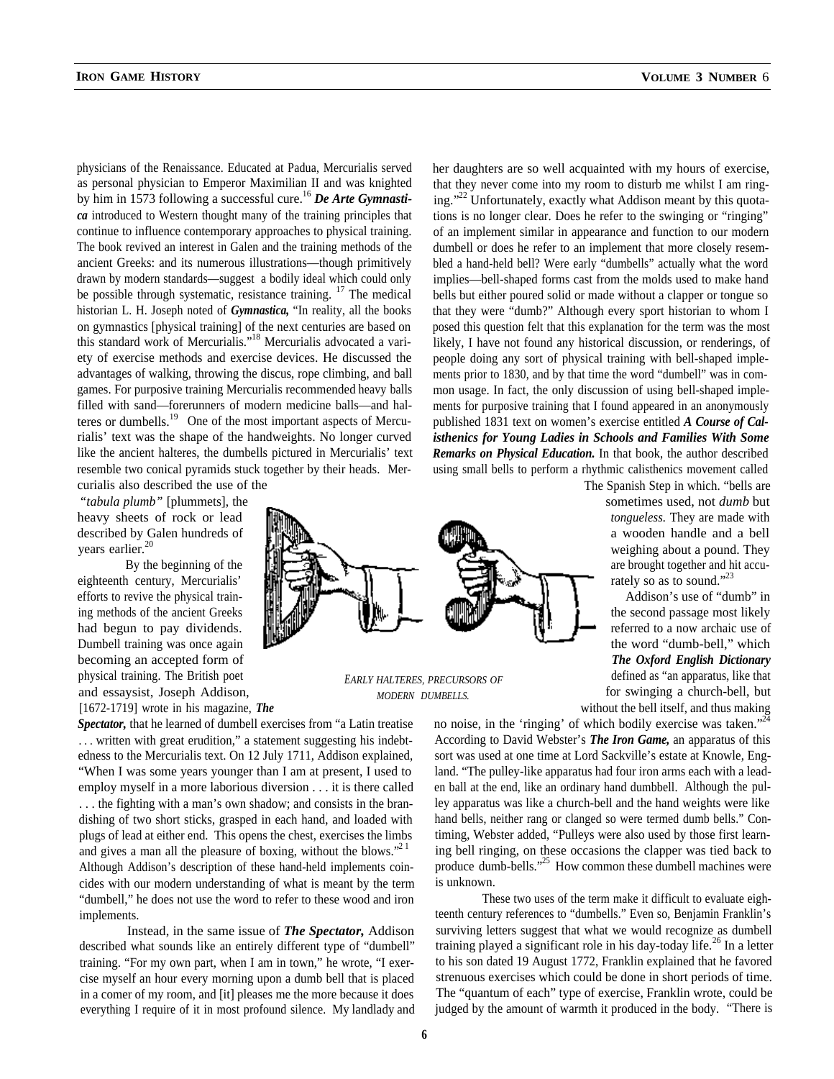physicians of the Renaissance. Educated at Padua, Mercurialis served as personal physician to Emperor Maximilian II and was knighted by him in 1573 following a successful cure.<sup>16</sup> De Arte Gymnasti*ca* introduced to Western thought many of the training principles that continue to influence contemporary approaches to physical training. The book revived an interest in Galen and the training methods of the ancient Greeks: and its numerous illustrations—though primitively drawn by modern standards—suggest a bodily ideal which could only be possible through systematic, resistance training. <sup>17</sup> The medical historian L. H. Joseph noted of *Gymnastica,* "In reality, all the books on gymnastics [physical training] of the next centuries are based on this standard work of Mercurialis."<sup>18</sup> Mercurialis advocated a variety of exercise methods and exercise devices. He discussed the advantages of walking, throwing the discus, rope climbing, and ball games. For purposive training Mercurialis recommended heavy balls filled with sand—forerunners of modern medicine balls—and halteres or dumbells.<sup>19</sup> One of the most important aspects of Mercurialis' text was the shape of the handweights. No longer curved like the ancient halteres, the dumbells pictured in Mercurialis' text resemble two conical pyramids stuck together by their heads. Mercurialis also described the use of the

*"tabula plumb"* [plummets], the heavy sheets of rock or lead described by Galen hundreds of years earlier.<sup>20</sup>

By the beginning of the eighteenth century, Mercurialis' efforts to revive the physical training methods of the ancient Greeks had begun to pay dividends. Dumbell training was once again becoming an accepted form of physical training. The British poet and essaysist, Joseph Addison,

cides with our modern understanding of what is meant by the term is unknown.

"dumbell," he does not use the word to refer to these wood and iron These two uses of the term make it difficult to evaluate eigh-

her daughters are so well acquainted with my hours of exercise, that they never come into my room to disturb me whilst I am ringing."<sup>22</sup> Unfortunately, exactly what Addison meant by this quotations is no longer clear. Does he refer to the swinging or "ringing" of an implement similar in appearance and function to our modern dumbell or does he refer to an implement that more closely resembled a hand-held bell? Were early "dumbells" actually what the word implies—bell-shaped forms cast from the molds used to make hand bells but either poured solid or made without a clapper or tongue so that they were "dumb?" Although every sport historian to whom I posed this question felt that this explanation for the term was the most likely, I have not found any historical discussion, or renderings, of people doing any sort of physical training with bell-shaped implements prior to 1830, and by that time the word "dumbell" was in common usage. In fact, the only discussion of using bell-shaped implements for purposive training that I found appeared in an anonymously published 1831 text on women's exercise entitled *A Course of Calisthenics for Young Ladies in Schools and Families With Some Remarks on Physical Education.* In that book, the author described using small bells to perform a rhythmic calisthenics movement called



Addison's use of "dumb" in the second passage most likely referred to a now archaic use of the word "dumb-bell," which *The Oxford English Dictionary* defined as "an apparatus, like that *MODERN DUMBELLS.* for swinging a church-bell, but [1672-1719] wrote in his magazine, *The* without the bell itself, and thus making

Spectator, that he learned of dumbell exercises from "a Latin treatise no noise, in the 'ringing' of which bodily exercise was taken."<sup>24</sup> ... written with great erudition," a statement suggesting his indebt- According to David Webster's *The Iron Game*, an apparatus of this edness to the Mercurialis text. On 12 July 1711, Addison explained, sort was used at one time at Lord Sackville's estate at Knowle, Eng- "When I was some years younger than I am at present, I used to land. "The pulley-like apparatus had four iron arms each with a leademploy myself in a more laborious diversion . . . it is there called en ball at the end, like an ordinary hand dumbbell. Although the pul-. . . the fighting with a man's own shadow; and consists in the bran- ley apparatus was like a church-bell and the hand weights were like dishing of two short sticks, grasped in each hand, and loaded with hand bells, neither rang or clanged so were termed dumb bells." Conplugs of lead at either end. This opens the chest, exercises the limbs timing, Webster added, "Pulleys were also used by those first learnand gives a man all the pleasure of boxing, without the blows. $^{221}$  ing bell ringing, on these occasions the clapper was tied back to Although Addison's description of these hand-held implements coin-<br>produce dumb-bells."<sup>25</sup> How common these dumbell machines were

implements. teenth century references to "dumbells." Even so, Benjamin Franklin's Instead, in the same issue of *The Spectator,* Addison surviving letters suggest that what we would recognize as dumbell described what sounds like an entirely different type of "dumbell" training played a significant role in his day-today life.<sup>26</sup> In a letter training. "For my own part, when I am in town," he wrote, "I exer- to his son dated 19 August 1772, Franklin explained that he favored cise myself an hour every morning upon a dumb bell that is placed strenuous exercises which could be done in short periods of time. in a comer of my room, and [it] pleases me the more because it does The "quantum of each" type of exercise, Franklin wrote, could be everything I require of it in most profound silence. My landlady and judged by the amount of warmth it produced in the body. "There is



*EARLY HALTERES, PRECURSORS OF*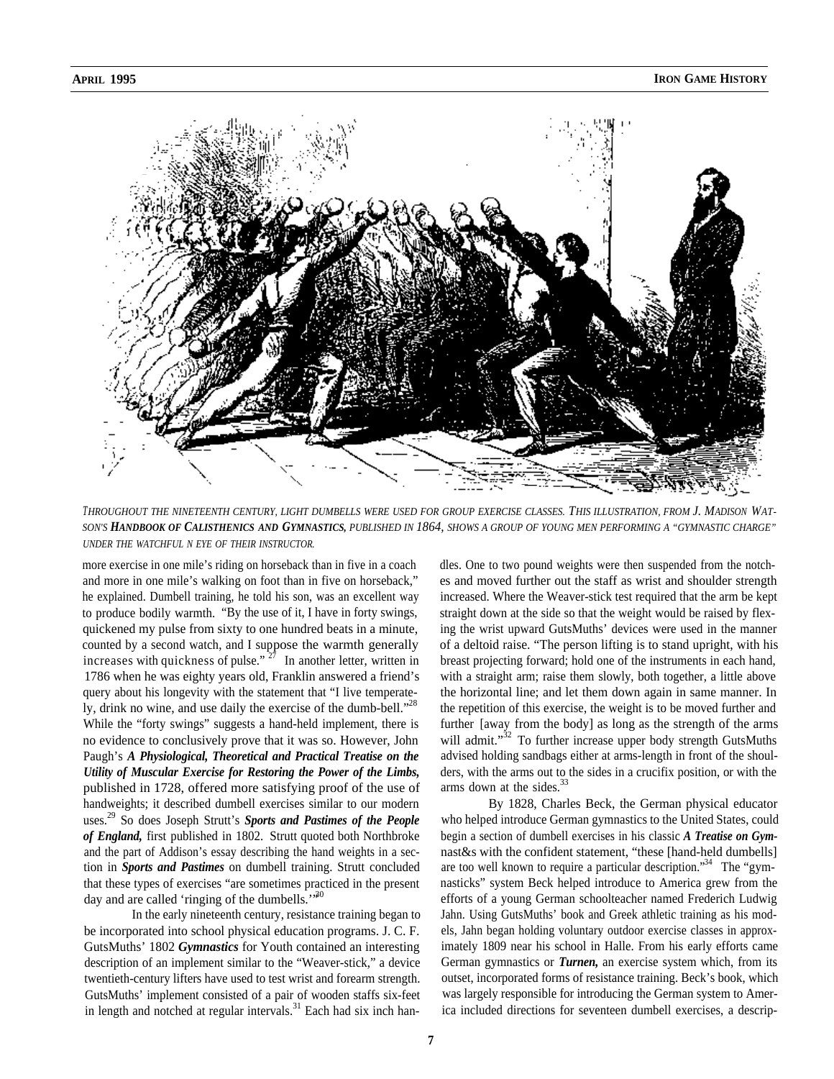

*THROUGHOUT THE NINETEENTH CENTURY, LIGHT DUMBELLS WERE USED FOR GROUP EXERCISE CLASSES. THIS ILLUSTRATION, FROM J. MADISON WAT-SON'S HANDBOOK OF CALISTHENICS AND GYMNASTICS, PUBLISHED IN 1864, SHOWS A GROUP OF YOUNG MEN PERFORMING A "GYMNASTIC CHARGE" UNDER THE WATCHFUL N EYE OF THEIR INSTRUCTOR.*

more exercise in one mile's riding on horseback than in five in a coach and more in one mile's walking on foot than in five on horseback," he explained. Dumbell training, he told his son, was an excellent way to produce bodily warmth. "By the use of it, I have in forty swings, quickened my pulse from sixty to one hundred beats in a minute, counted by a second watch, and I suppose the warmth generally increases with quickness of pulse." <sup>27</sup> In another letter, written in 1786 when he was eighty years old, Franklin answered a friend's query about his longevity with the statement that "I live temperately, drink no wine, and use daily the exercise of the dumb-bell. $1^{28}$ 

While the "forty swings" suggests a hand-held implement, there is no evidence to conclusively prove that it was so. However, John Paugh's *A Physiological, Theoretical and Practical Treatise on the Utility of Muscular Exercise for Restoring the Power of the Limbs,* published in 1728, offered more satisfying proof of the use of handweights; it described dumbell exercises similar to our modern uses. 29 So does Joseph Strutt's *Sports and Pastimes of the People of England,* first published in 1802. Strutt quoted both Northbroke and the part of Addison's essay describing the hand weights in a section in *Sports and Pastimes* on dumbell training. Strutt concluded that these types of exercises "are sometimes practiced in the present day and are called 'ringing of the dumbells."<sup>30</sup>

In the early nineteenth century, resistance training began to be incorporated into school physical education programs. J. C. F. GutsMuths' 1802 *Gymnastics* for Youth contained an interesting description of an implement similar to the "Weaver-stick," a device twentieth-century lifters have used to test wrist and forearm strength. GutsMuths' implement consisted of a pair of wooden staffs six-feet in length and notched at regular intervals. $31$  Each had six inch handles. One to two pound weights were then suspended from the notches and moved further out the staff as wrist and shoulder strength increased. Where the Weaver-stick test required that the arm be kept straight down at the side so that the weight would be raised by flexing the wrist upward GutsMuths' devices were used in the manner of a deltoid raise. "The person lifting is to stand upright, with his breast projecting forward; hold one of the instruments in each hand, with a straight arm; raise them slowly, both together, a little above the horizontal line; and let them down again in same manner. In the repetition of this exercise, the weight is to be moved further and further [away from the body] as long as the strength of the arms will admit."<sup>32</sup> To further increase upper body strength GutsMuths advised holding sandbags either at arms-length in front of the shoulders, with the arms out to the sides in a crucifix position, or with the arms down at the sides. $33$ 

By 1828, Charles Beck, the German physical educator who helped introduce German gymnastics to the United States, could begin a section of dumbell exercises in his classic *A Treatise on Gym*nast&s with the confident statement, "these [hand-held dumbells] are too well known to require a particular description."<sup>34</sup> The "gymnasticks" system Beck helped introduce to America grew from the efforts of a young German schoolteacher named Frederich Ludwig Jahn. Using GutsMuths' book and Greek athletic training as his models, Jahn began holding voluntary outdoor exercise classes in approximately 1809 near his school in Halle. From his early efforts came German gymnastics or *Turnen,* an exercise system which, from its outset, incorporated forms of resistance training. Beck's book, which was largely responsible for introducing the German system to America included directions for seventeen dumbell exercises, a descrip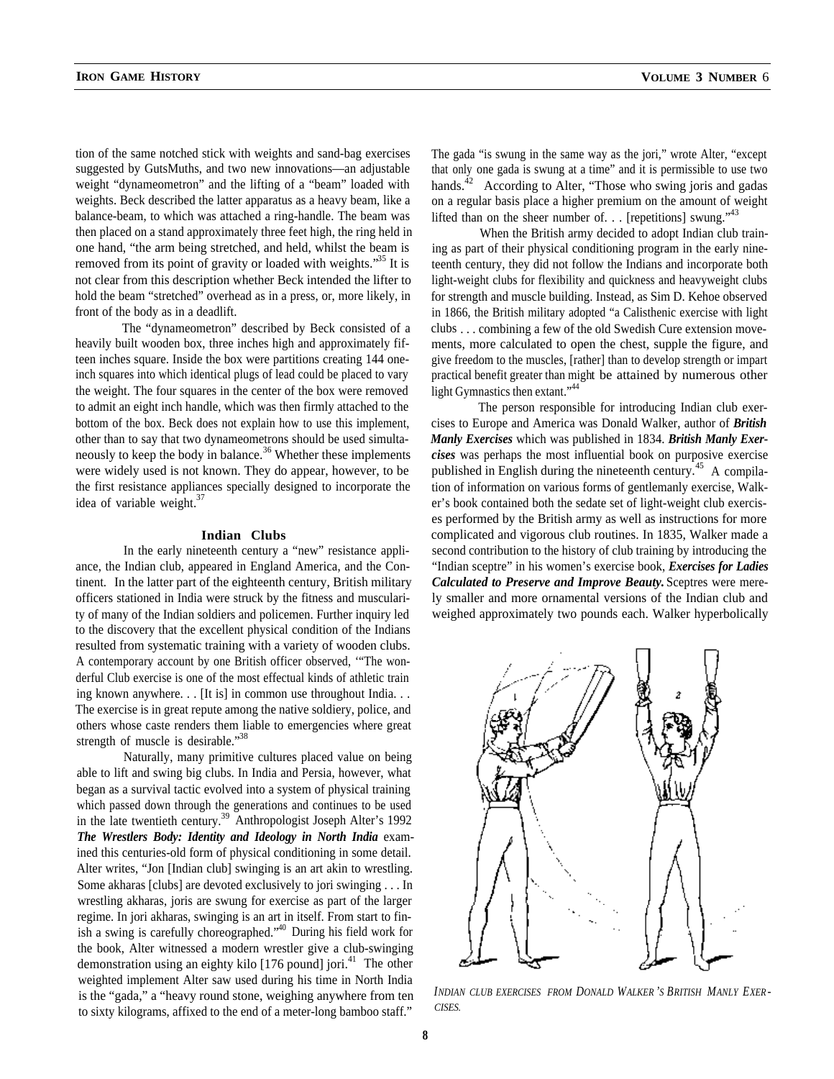tion of the same notched stick with weights and sand-bag exercises suggested by GutsMuths, and two new innovations—an adjustable weight "dynameometron" and the lifting of a "beam" loaded with weights. Beck described the latter apparatus as a heavy beam, like a balance-beam, to which was attached a ring-handle. The beam was then placed on a stand approximately three feet high, the ring held in one hand, "the arm being stretched, and held, whilst the beam is removed from its point of gravity or loaded with weights.<sup>35</sup> It is not clear from this description whether Beck intended the lifter to

front of the body as in a deadlift. The "dynameometron" described by Beck consisted of a heavily built wooden box, three inches high and approximately fifteen inches square. Inside the box were partitions creating 144 oneinch squares into which identical plugs of lead could be placed to vary the weight. The four squares in the center of the box were removed to admit an eight inch handle, which was then firmly attached to the bottom of the box. Beck does not explain how to use this implement, other than to say that two dynameometrons should be used simultaneously to keep the body in balance.<sup>36</sup> Whether these implements were widely used is not known. They do appear, however, to be the first resistance appliances specially designed to incorporate the idea of variable weight.<sup>37</sup>

hold the beam "stretched" overhead as in a press, or, more likely, in

#### **Indian Clubs**

In the early nineteenth century a "new" resistance appliance, the Indian club, appeared in England America, and the Continent. In the latter part of the eighteenth century, British military officers stationed in India were struck by the fitness and muscularity of many of the Indian soldiers and policemen. Further inquiry led to the discovery that the excellent physical condition of the Indians resulted from systematic training with a variety of wooden clubs. A contemporary account by one British officer observed, '"The wonderful Club exercise is one of the most effectual kinds of athletic train ing known anywhere. . . [It is] in common use throughout India. . . The exercise is in great repute among the native soldiery, police, and others whose caste renders them liable to emergencies where great strength of muscle is desirable."<sup>38</sup>

Naturally, many primitive cultures placed value on being able to lift and swing big clubs. In India and Persia, however, what began as a survival tactic evolved into a system of physical training which passed down through the generations and continues to be used in the late twentieth century.<sup>39</sup> Anthropologist Joseph Alter's 1992 *The Wrestlers Body: Identity and Ideology in North India* examined this centuries-old form of physical conditioning in some detail. Alter writes, "Jon [Indian club] swinging is an art akin to wrestling. Some akharas [clubs] are devoted exclusively to jori swinging . . . In wrestling akharas, joris are swung for exercise as part of the larger regime. In jori akharas, swinging is an art in itself. From start to finish a swing is carefully choreographed."<sup>40</sup> During his field work for the book, Alter witnessed a modern wrestler give a club-swinging demonstration using an eighty kilo  $[176$  pound] jori.<sup>41</sup> The other weighted implement Alter saw used during his time in North India to sixty kilograms, affixed to the end of a meter-long bamboo staff."

The gada "is swung in the same way as the jori," wrote Alter, "except that only one gada is swung at a time" and it is permissible to use two hands.<sup>42</sup> According to Alter, "Those who swing joris and gadas" on a regular basis place a higher premium on the amount of weight lifted than on the sheer number of.  $\ldots$  [repetitions] swung.<sup> $43$ </sup>

When the British army decided to adopt Indian club training as part of their physical conditioning program in the early nineteenth century, they did not follow the Indians and incorporate both light-weight clubs for flexibility and quickness and heavyweight clubs for strength and muscle building. Instead, as Sim D. Kehoe observed in 1866, the British military adopted "a Calisthenic exercise with light clubs . . . combining a few of the old Swedish Cure extension movements, more calculated to open the chest, supple the figure, and give freedom to the muscles, [rather] than to develop strength or impart practical benefit greater than migh t be attained by numerous other light Gymnastics then extant."<sup>44</sup>

The person responsible for introducing Indian club exercises to Europe and America was Donald Walker, author of *British Manly Exercises* which was published in 1834. *British Manly Exercises* was perhaps the most influential book on purposive exercise published in English during the nineteenth century.<sup>45</sup> A compilation of information on various forms of gentlemanly exercise, Walker's book contained both the sedate set of light-weight club exercises performed by the British army as well as instructions for more complicated and vigorous club routines. In 1835, Walker made a second contribution to the history of club training by introducing the "Indian sceptre" in his women's exercise book, *Exercises for Ladies Calculated to Preserve and Improve Beauty.* Sceptres were merely smaller and more ornamental versions of the Indian club and weighed approximately two pounds each. Walker hyperbolically



is the "gada," a "heavy round stone, weighing anywhere from ten *INDIAN CLUB EXERCISES FROM DONALD WALKER 'S BRITISH MANLY EXER -*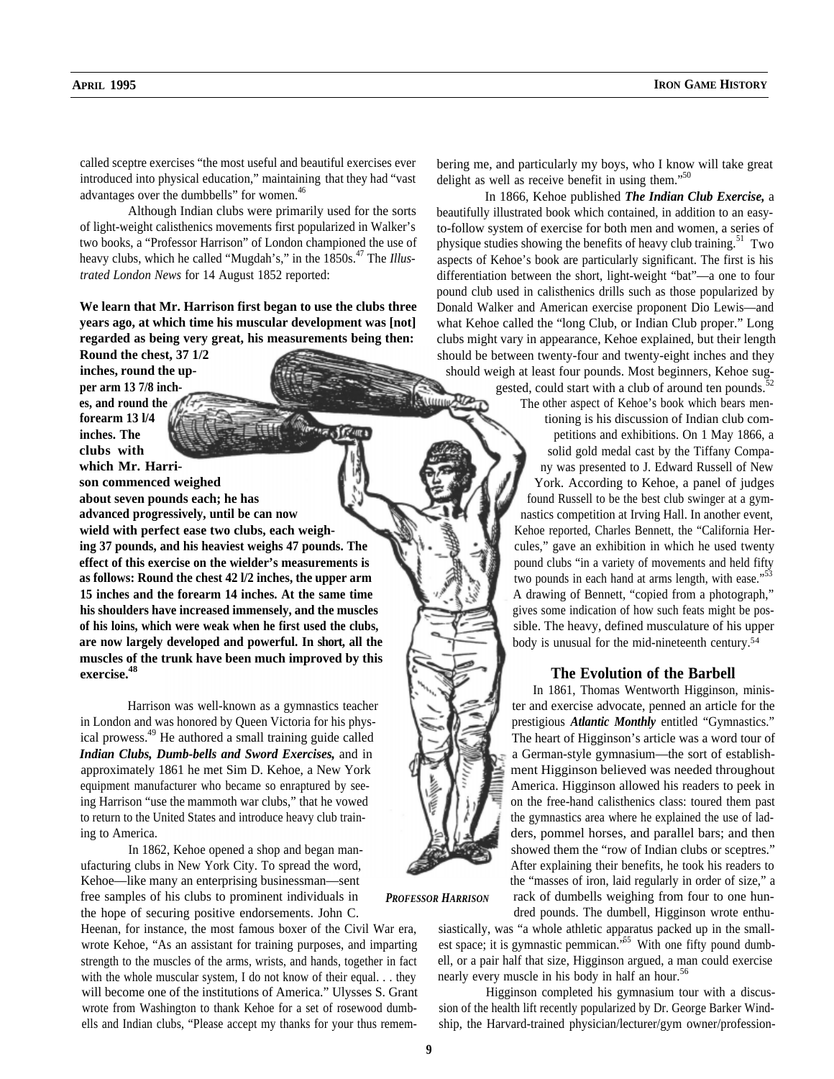called sceptre exercises "the most useful and beautiful exercises ever introduced into physical education," maintaining that they had "vast advantages over the dumbbells" for women.<sup>46</sup>

Although Indian clubs were primarily used for the sorts of light-weight calisthenics movements first popularized in Walker's two books, a "Professor Harrison" of London championed the use of heavy clubs, which he called "Mugdah's," in the 1850s.<sup>47</sup> The *Illustrated London News* for 14 August 1852 reported:

**We learn that Mr. Harrison first began to use the clubs three years ago, at which time his muscular development was [not] regarded as being very great, his measurements being then:**

**Round the chest, 37 1/2 inches, round the upper arm 13 7/8 inches, and round the forearm 13 l/4 inches. The clubs with which Mr. Harrison commenced weighed about seven pounds each; he has advanced progressively, until be can now wield with perfect ease two clubs, each weighing 37 pounds, and his heaviest weighs 47 pounds. The effect of this exercise on the wielder's measurements is as follows: Round the chest 42 l/2 inches, the upper arm 15 inches and the forearm 14 inches. At the same time his shoulders have increased immensely, and the muscles of his loins, which were weak when he first used the clubs, are now largely developed and powerful. In short, all the muscles of the trunk have been much improved by this exercise.48**

Harrison was well-known as a gymnastics teacher in London and was honored by Queen Victoria for his physical prowess.<sup>49</sup> He authored a small training guide called *Indian Clubs, Dumb-bells and Sword Exercises,* and in approximately 1861 he met Sim D. Kehoe, a New York equipment manufacturer who became so enraptured by seeing Harrison "use the mammoth war clubs," that he vowed to return to the United States and introduce heavy club training to America.

In 1862, Kehoe opened a shop and began manufacturing clubs in New York City. To spread the word, Kehoe—like many an enterprising businessman—sent free samples of his clubs to prominent individuals in the hope of securing positive endorsements. John C.

with the whole muscular system, I do not know of their equal. . . they nearly every muscle in his body in half an hour.<sup>56</sup> will become one of the institutions of America." Ulysses S. Grant Higginson completed his gymnasium tour with a discuswrote from Washington to thank Kehoe for a set of rosewood dumb- sion of the health lift recently popularized by Dr. George Barker Windells and Indian clubs, "Please accept my thanks for your thus remem- ship, the Harvard-trained physician/lecturer/gym owner/profession-

bering me, and particularly my boys, who I know will take great delight as well as receive benefit in using them."<sup>50</sup>

In 1866, Kehoe published *The Indian Club Exercise,* a beautifully illustrated book which contained, in addition to an easyto-follow system of exercise for both men and women, a series of physique studies showing the benefits of heavy club training.<sup>51</sup> Two aspects of Kehoe's book are particularly significant. The first is his differentiation between the short, light-weight "bat"—a one to four pound club used in calisthenics drills such as those popularized by Donald Walker and American exercise proponent Dio Lewis—and what Kehoe called the "long Club, or Indian Club proper." Long clubs might vary in appearance, Kehoe explained, but their length should be between twenty-four and twenty-eight inches and they should weigh at least four pounds. Most beginners, Kehoe suggested, could start with a club of around ten pounds.<sup>5</sup>

The other aspect of Kehoe's book which bears menpetitions and exhibitions. On 1 May 1866, a solid gold medal cast by the Tiffany Company was presented to J. Edward Russell of New York. According to Kehoe, a panel of judges found Russell to be the best club swinger at a gymtioning is his discussion of Indian club comnastics competition at Irving Hall. In another event, Kehoe reported, Charles Bennett, the "California Hercules," gave an exhibition in which he used twenty pound clubs "in a variety of movements and held fifty two pounds in each hand at arms length, with ease."<sup>53</sup> A drawing of Bennett, "copied from a photograph," gives some indication of how such feats might be possible. The heavy, defined musculature of his upper body is unusual for the mid-nineteenth century. 54

## **The Evolution of the Barbell**

In 1861, Thomas Wentworth Higginson, minister and exercise advocate, penned an article for the prestigious *Atlantic Monthly* entitled "Gymnastics." The heart of Higginson's article was a word tour of a German-style gymnasium—the sort of establishment Higginson believed was needed throughout America. Higginson allowed his readers to peek in on the free-hand calisthenics class: toured them past the gymnastics area where he explained the use of ladders, pommel horses, and parallel bars; and then showed them the "row of Indian clubs or sceptres." After explaining their benefits, he took his readers to the "masses of iron, laid regularly in order of size," a rack of dumbells weighing from four to one hundred pounds. The dumbell, Higginson wrote enthu-

Heenan, for instance, the most famous boxer of the Civil War era, siastically, was "a whole athletic apparatus packed up in the smallwrote Kehoe, "As an assistant for training purposes, and imparting est space; it is gymnastic pemmican."<sup>55</sup> With one fifty pound dumbstrength to the muscles of the arms, wrists, and hands, together in fact ell, or a pair half that size, Higginson argued, a man could exercise

*PROFESSOR HARRISON*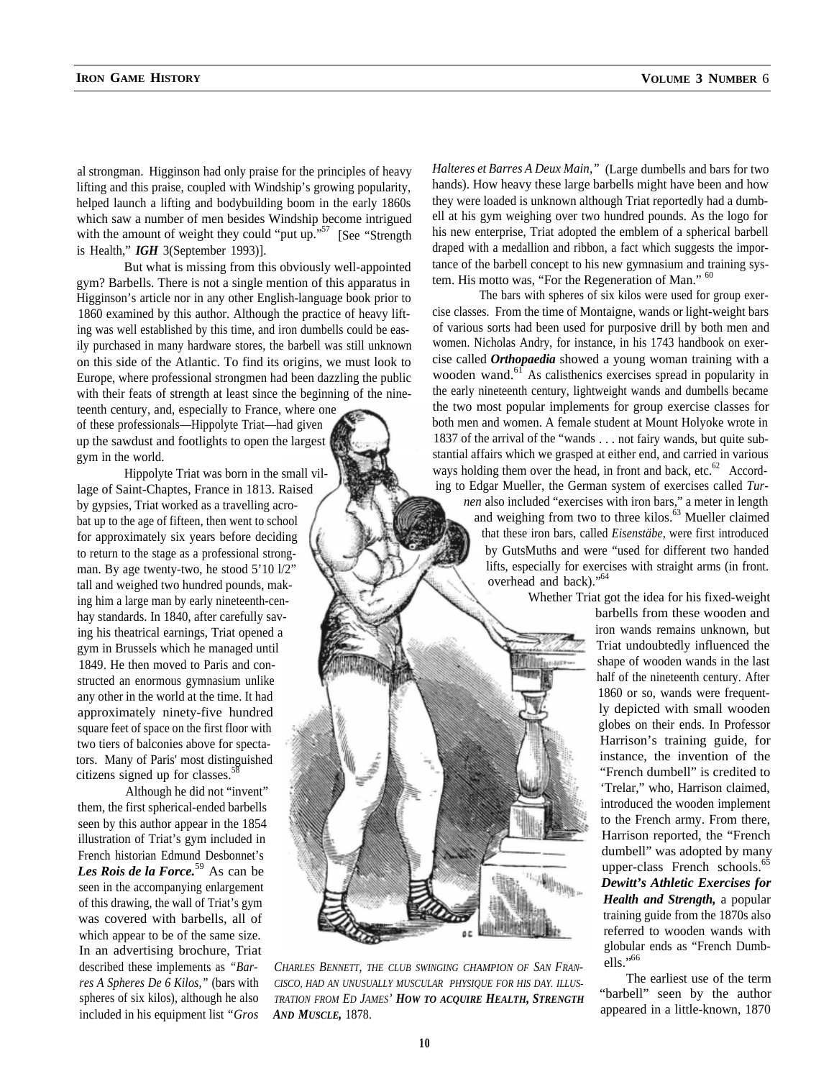lifting and this praise, coupled with Windship's growing popularity, hands). How heavy these large barbells might have been and how<br>helped launch a lifting and bodybuilding boom in the early 1860s they were loaded is unkno helped launch a lifting and bodybuilding boom in the early 1860s they were loaded is unknown although Triat reportedly had a dumb-<br>which saw a number of men besides Windship become intrigued ell at his gym weighing over tw which saw a number of men besides Windship become intrigued ell at his gym weighing over two hundred pounds. As the logo for with the amount of weight they could "put up."<sup>57</sup> [See "Strength" his new enterprise, Triat adop with the amount of weight they could "put up."<sup>57</sup> [See "Strength is Health," *IGH* 3(September 1993)].

But what is missing from this obviously well-appointed gym? Barbells. There is not a single mention of this apparatus in tem. His motto was, "For the Regeneration of Man." <sup>60</sup><br>Higginson's article nor in any other English-language book prior to The bars with spheres of six kil Higginson's article nor in any other English-language book prior to 1860 examined by this author. Although the practice of heavy lift-<br>ing was well established by this time, and iron dumbells could be eas-<br>of various sorts had been used for purposive drill by both men and ing was well established by this time, and iron dumbells could be eas-<br>ily purchased in many hardware stores, the barbell was still unknown women. Nicholas Andry, for instance, in his 1743 handbook on exerily purchased in many hardware stores, the barbell was still unknown women. Nicholas Andry, for instance, in his 1743 handbook on exer-<br>on this side of the Atlantic. To find its origins, we must look to cise called *Orthop* on this side of the Atlantic. To find its origins, we must look to Europe, where professional strongmen had been dazzling the public wooden wand.<sup>61</sup> As calisthenics exercises spread in popularity in with their feats of strength at least since the beginning of the nine-<br>the early nineteen with their feats of strength at least since the beginning of the nine-

by gypsies, Triat worked as a travelling acrobat up to the age of fifteen, then went to school for approximately six years before deciding to return to the stage as a professional strongman. By age twenty-two, he stood 5'10 l/2" tall and weighed two hundred pounds, making him a large man by early nineteenth-cenhay standards. In 1840, after carefully saving his theatrical earnings, Triat opened a gym in Brussels which he managed until 1849. He then moved to Paris and constructed an enormous gymnasium unlike any other in the world at the time. It had approximately ninety-five hundred square feet of space on the first floor with two tiers of balconies above for spectators. Many of Paris' most distinguished citizens signed up for classes.<sup>3</sup>

Although he did not "invent" them, the first spherical-ended barbells seen by this author appear in the 1854 illustration of Triat's gym included in French historian Edmund Desbonnet's *Les Rois de la Force.*59 As can be seen in the accompanying enlargement of this drawing, the wall of Triat's gym was covered with barbells, all of which appear to be of the same size. In an advertising brochure, Triat described these implements as *"Bar- CHARLES BENNETT, THE CLUB SWINGING CHAMPION OF SAN FRAN*included in his equipment list *"Gros AND MUSCLE,* 1878.

al strongman. Higginson had only praise for the principles of heavy *Halteres et Barres A Deux Main*," (Large dumbells and bars for two<br>lifting and this praise, coupled with Windship's growing popularity, hands). How heavy draped with a medallion and ribbon, a fact which suggests the impor-<br>tance of the barbell concept to his new gymnasium and training sys-

teenth century, and, especially to France, where one the two most popular implements for group exercise classes for of these professionals—Hippolyte Triat—had given both men and women. A female student at Mount Holyoke wrote in up the sawdust and footlights to open the largest 1837 of the arrival of the "wands . . . not fairy wands, but quite subgym in the world. Stantial affairs which we grasped at either end, and carried in various Hippolyte Triat was born in the small vil- ways holding them over the head, in front and back, etc.<sup>62</sup> Accordlage of Saint-Chaptes, France in 1813. Raised in a system of exercises called *Tur-* ing to Edgar Mueller, the German system of exercises called *Turnen* also included "exercises with iron bars," a meter in length and weighing from two to three kilos.<sup>63</sup> Mueller claimed that these iron bars, called *Eisenstäbe,* were first introduced by GutsMuths and were "used for different two handed lifts, especially for exercises with straight arms (in front. overhead and back)."<sup>64</sup>

Whether Triat got the idea for his fixed-weight

barbells from these wooden and iron wands remains unknown, but Triat undoubtedly influenced the shape of wooden wands in the last half of the nineteenth century. After 1860 or so, wands were frequently depicted with small wooden globes on their ends. In Professor Harrison's training guide, for instance, the invention of the "French dumbell" is credited to 'Trelar," who, Harrison claimed, introduced the wooden implement to the French army. From there, Harrison reported, the "French dumbell" was adopted by many upper-class French schools. $65$ *Dewitt's Athletic Exercises for Health and Strength,* a popular training guide from the 1870s also referred to wooden wands with globular ends as "French Dumbells."<sup>66</sup>

The earliest use of the term "barbell" seen by the author appeared in a little-known, 1870

*res A Spheres De 6 Kilos,"* (bars with *CISCO, HAD AN UNUSUALLY MUSCULAR PHYSIQUE FOR HIS DAY. ILLUS*spheres of six kilos), although he also *TRATION FROM ED JAMES' HOW TO ACQUIRE HEALTH, STRENGTH*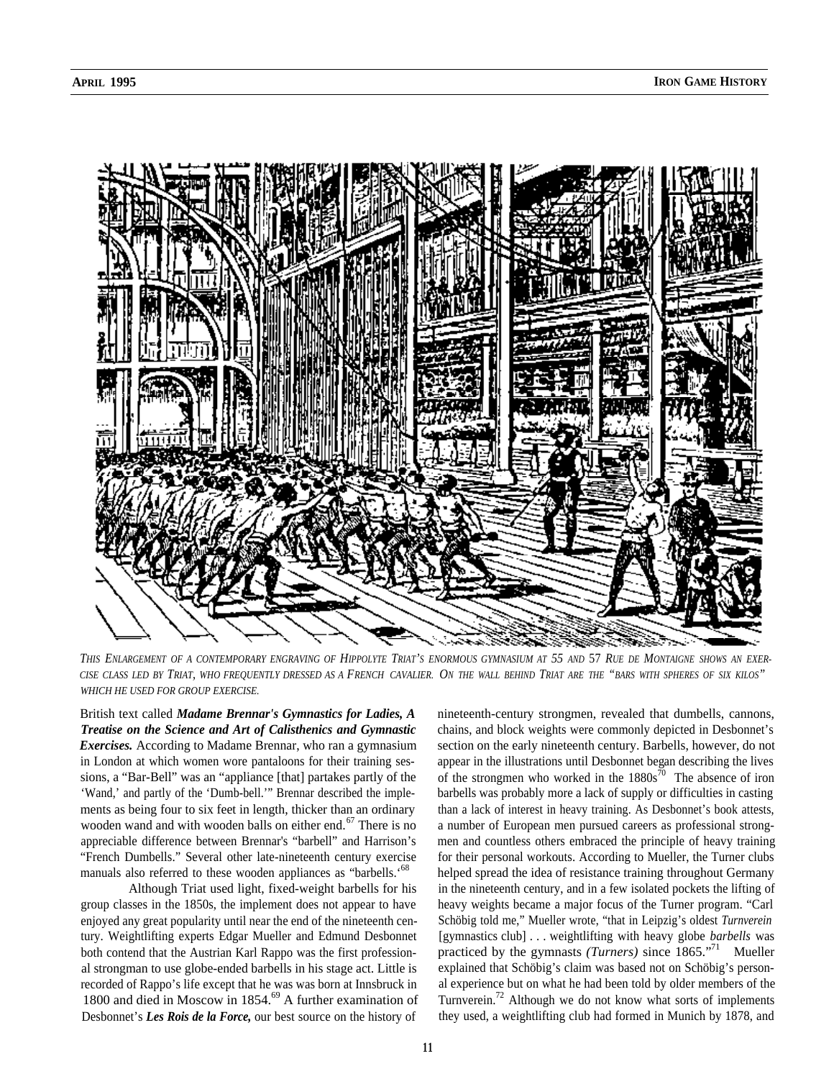

*THIS ENLARGEMENT OF A CONTEMPORARY ENGRAVING OF HIPPOLYTE TRIAT'S ENORMOUS GYMNASIUM AT 55 AND* 57 *RUE DE MONTAIGNE SHOWS AN EXER-CISE CLASS LED BY TRIAT, WHO FREQUENTLY DRESSED AS A FRENCH CAVALIER. ON THE WALL BEHIND TRIAT ARE THE "BARS WITH SPHERES OF SIX KILOS" WHICH HE USED FOR GROUP EXERCISE.*

British text called *Madame Brennar's Gymnastics for Ladies, A Treatise on the Science and Art of Calisthenics and Gymnastic Exercises.* According to Madame Brennar, who ran a gymnasium in London at which women wore pantaloons for their training sessions, a "Bar-Bell" was an "appliance [that] partakes partly of the 'Wand,' and partly of the 'Dumb-bell.'" Brennar described the implements as being four to six feet in length, thicker than an ordinary wooden wand and with wooden balls on either end.<sup>67</sup> There is no appreciable difference between Brennar's "barbell" and Harrison's "French Dumbells." Several other late-nineteenth century exercise manuals also referred to these wooden appliances as "barbells.'<sup>68</sup>

Although Triat used light, fixed-weight barbells for his group classes in the 1850s, the implement does not appear to have enjoyed any great popularity until near the end of the nineteenth century. Weightlifting experts Edgar Mueller and Edmund Desbonnet both contend that the Austrian Karl Rappo was the first professional strongman to use globe-ended barbells in his stage act. Little is recorded of Rappo's life except that he was was born at Innsbruck in 1800 and died in Moscow in 1854.<sup>69</sup> A further examination of Desbonnet's *Les Rois de la Force,* our best source on the history of

nineteenth-century strongmen, revealed that dumbells, cannons, chains, and block weights were commonly depicted in Desbonnet's section on the early nineteenth century. Barbells, however, do not appear in the illustrations until Desbonnet began describing the lives of the strongmen who worked in the  $1880s^{70}$  The absence of iron barbells was probably more a lack of supply or difficulties in casting than a lack of interest in heavy training. As Desbonnet's book attests, a number of European men pursued careers as professional strongmen and countless others embraced the principle of heavy training for their personal workouts. According to Mueller, the Turner clubs helped spread the idea of resistance training throughout Germany in the nineteenth century, and in a few isolated pockets the lifting of heavy weights became a major focus of the Turner program. "Carl Schöbig told me," Mueller wrote, "that in Leipzig's oldest *Turnverein* [gymnastics club] . . . weightlifting with heavy globe *barbells* was practiced by the gymnasts *(Turners)* since 1865."<sup>71</sup> Mueller explained that Schöbig's claim was based not on Schöbig's personal experience but on what he had been told by older members of the Turnverein.<sup>72</sup> Although we do not know what sorts of implements they used, a weightlifting club had formed in Munich by 1878, and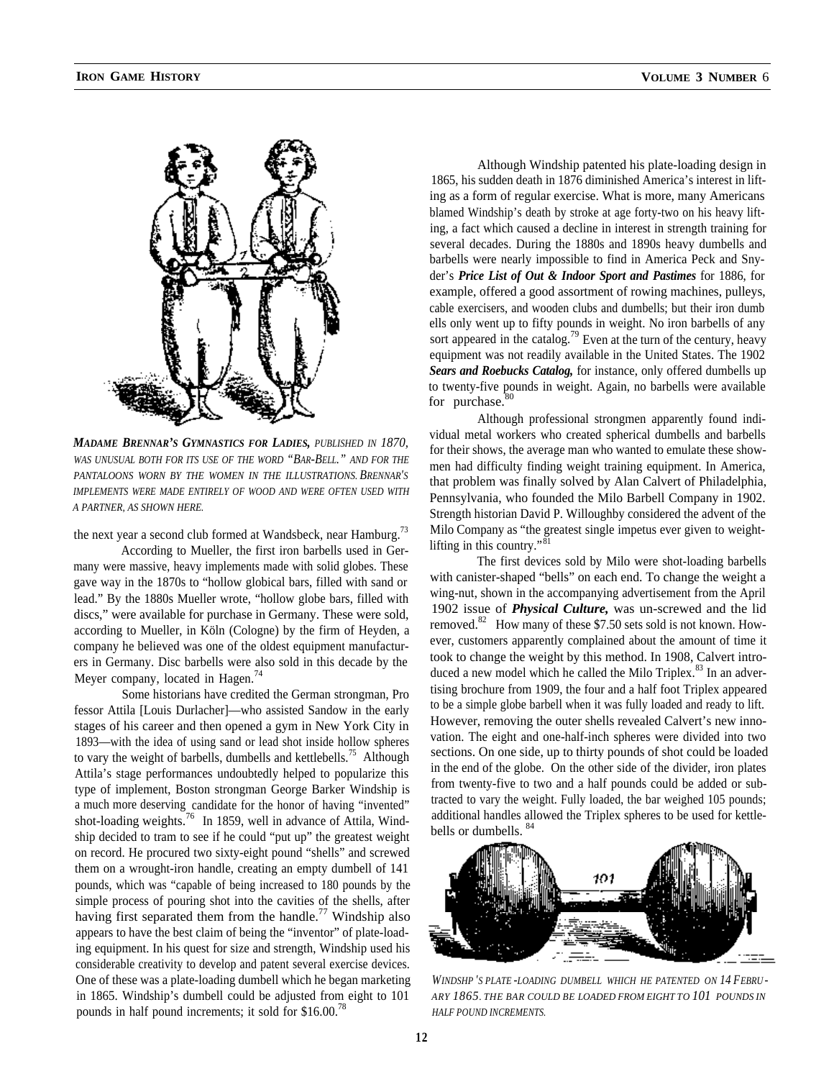

*MADAME BRENNAR'S GYMNASTICS FOR LADIES, PUBLISHED IN 1870, WAS UNUSUAL BOTH FOR ITS USE OF THE WORD "BAR-BELL." AND FOR THE PANTALOONS WORN BY THE WOMEN IN THE ILLUSTRATIONS. BRENNAR'S IMPLEMENTS WERE MADE ENTIRELY OF WOOD AND WERE OFTEN USED WITH A PARTNER, AS SHOWN HERE.*

the next year a second club formed at Wandsbeck, near Hamburg.<sup>73</sup>

According to Mueller, the first iron barbells used in Germany were massive, heavy implements made with solid globes. These gave way in the 1870s to "hollow globical bars, filled with sand or lead." By the 1880s Mueller wrote, "hollow globe bars, filled with discs," were available for purchase in Germany. These were sold, according to Mueller, in Köln (Cologne) by the firm of Heyden, a company he believed was one of the oldest equipment manufacturers in Germany. Disc barbells were also sold in this decade by the Meyer company, located in Hagen.<sup>74</sup>

Some historians have credited the German strongman, Pro fessor Attila [Louis Durlacher]—who assisted Sandow in the early stages of his career and then opened a gym in New York City in 1893—with the idea of using sand or lead shot inside hollow spheres to vary the weight of barbells, dumbells and kettlebells.<sup>75</sup> Although Attila's stage performances undoubtedly helped to popularize this type of implement, Boston strongman George Barker Windship is a much more deserving candidate for the honor of having "invented" shot-loading weights.<sup>76</sup> In 1859, well in advance of Attila, Windship decided to tram to see if he could "put up" the greatest weight on record. He procured two sixty-eight pound "shells" and screwed them on a wrought-iron handle, creating an empty dumbell of 141 pounds, which was "capable of being increased to 180 pounds by the simple process of pouring shot into the cavities of the shells, after having first separated them from the handle.<sup>77</sup> Windship also appears to have the best claim of being the "inventor" of plate-loading equipment. In his quest for size and strength, Windship used his considerable creativity to develop and patent several exercise devices. One of these was a plate-loading dumbell which he began marketing in 1865. Windship's dumbell could be adjusted from eight to 101 pounds in half pound increments; it sold for \$16.00.<sup>78</sup>

Although Windship patented his plate-loading design in 1865, his sudden death in 1876 diminished America's interest in lifting as a form of regular exercise. What is more, many Americans blamed Windship's death by stroke at age forty-two on his heavy lifting, a fact which caused a decline in interest in strength training for several decades. During the 1880s and 1890s heavy dumbells and barbells were nearly impossible to find in America Peck and Snyder's *Price List of Out & Indoor Sport and Pastimes* for 1886, for example, offered a good assortment of rowing machines, pulleys, cable exercisers, and wooden clubs and dumbells; but their iron dumb ells only went up to fifty pounds in weight. No iron barbells of any sort appeared in the catalog.<sup>79</sup> Even at the turn of the century, heavy equipment was not readily available in the United States. The 1902 *Sears and Roebucks Catalog,* for instance, only offered dumbells up to twenty-five pounds in weight. Again, no barbells were available for purchase. $80$ 

Although professional strongmen apparently found individual metal workers who created spherical dumbells and barbells for their shows, the average man who wanted to emulate these showmen had difficulty finding weight training equipment. In America, that problem was finally solved by Alan Calvert of Philadelphia, Pennsylvania, who founded the Milo Barbell Company in 1902. Strength historian David P. Willoughby considered the advent of the Milo Company as "the greatest single impetus ever given to weightlifting in this country." $81$ 

The first devices sold by Milo were shot-loading barbells with canister-shaped "bells" on each end. To change the weight a wing-nut, shown in the accompanying advertisement from the April 1902 issue of *Physical Culture,* was un-screwed and the lid removed.<sup>82</sup> How many of these \$7.50 sets sold is not known. However, customers apparently complained about the amount of time it took to change the weight by this method. In 1908, Calvert introduced a new model which he called the Milo Triplex. $83$  In an advertising brochure from 1909, the four and a half foot Triplex appeared to be a simple globe barbell when it was fully loaded and ready to lift. However, removing the outer shells revealed Calvert's new innovation. The eight and one-half-inch spheres were divided into two sections. On one side, up to thirty pounds of shot could be loaded in the end of the globe. On the other side of the divider, iron plates from twenty-five to two and a half pounds could be added or subtracted to vary the weight. Fully loaded, the bar weighed 105 pounds; additional handles allowed the Triplex spheres to be used for kettlebells or dumbells.



*WINDSHP 'S PLATE -LOADING DUMBELL WHICH HE PATENTED ON 14 FEBRU - ARY 1865. THE BAR COULD BE LOADED FROM EIGHT TO 101 POUNDS IN HALF POUND INCREMENTS.*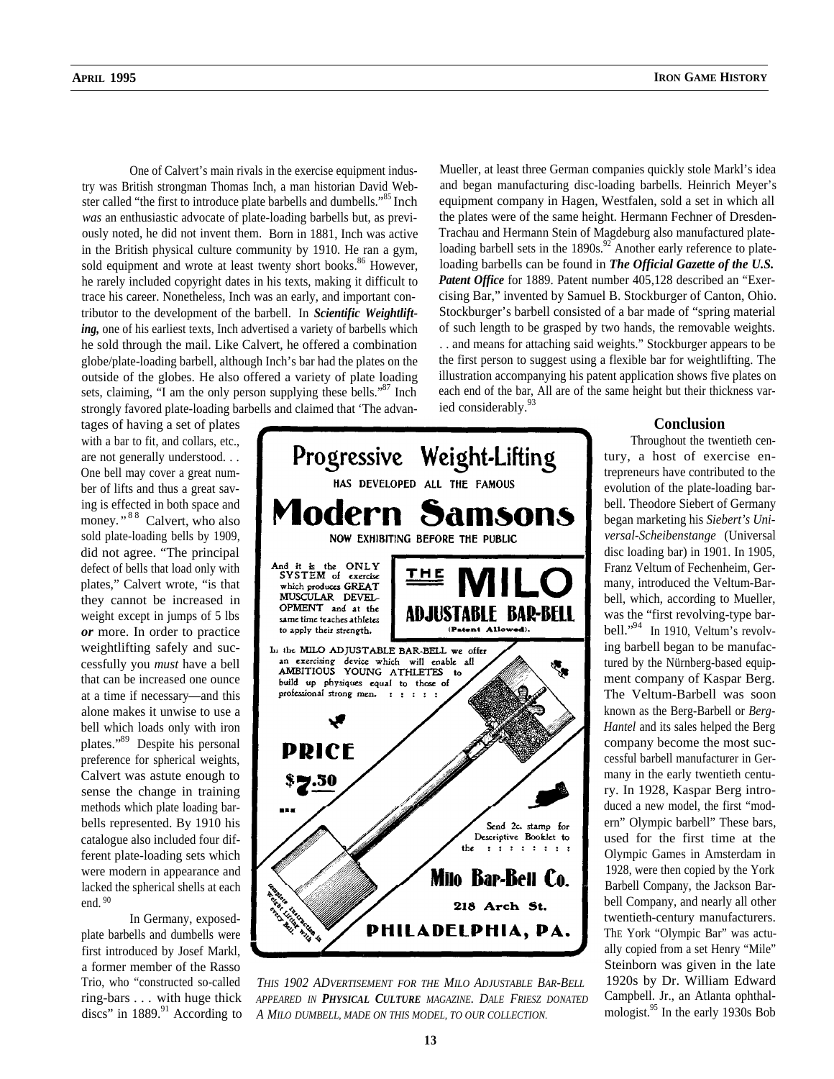One of Calvert's main rivals in the exercise equipment industry was British strongman Thomas Inch, a man historian David Webster called "the first to introduce plate barbells and dumbells."<sup>85</sup> Inch *was* an enthusiastic advocate of plate-loading barbells but, as previously noted, he did not invent them. Born in 1881, Inch was active in the British physical culture community by 1910. He ran a gym, sold equipment and wrote at least twenty short books.<sup>86</sup> However, he rarely included copyright dates in his texts, making it difficult to trace his career. Nonetheless, Inch was an early, and important contributor to the development of the barbell. In *Scientific Weightlifting,* one of his earliest texts, Inch advertised a variety of barbells which he sold through the mail. Like Calvert, he offered a combination globe/plate-loading barbell, although Inch's bar had the plates on the outside of the globes. He also offered a variety of plate loading sets, claiming, "I am the only person supplying these bells."<sup>87</sup> Inch strongly favored plate-loading barbells and claimed that 'The advan- ied considerably.<sup>93</sup>

tages of having a set of plates with a bar to fit, and collars, etc., are not generally understood. . . One bell may cover a great number of lifts and thus a great saving is effected in both space and money."<sup>88</sup> Calvert, who also sold plate-loading bells by 1909, did not agree. "The principal defect of bells that load only with plates," Calvert wrote, "is that they cannot be increased in weight except in jumps of 5 lbs *or* more. In order to practice weightlifting safely and successfully you *must* have a bell that can be increased one ounce at a time if necessary—and this alone makes it unwise to use a bell which loads only with iron plates."89 Despite his personal preference for spherical weights, Calvert was astute enough to sense the change in training methods which plate loading barbells represented. By 1910 his catalogue also included four different plate-loading sets which were modern in appearance and lacked the spherical shells at each end. <sup>90</sup>

In Germany, exposedplate barbells and dumbells were first introduced by Josef Markl, a former member of the Rasso Trio, who "constructed so-called ring-bars . . . with huge thick discs" in  $1889$ .<sup>91</sup> According to



*THIS 1902 ADVERTISEMENT FOR THE MILO ADJUSTABLE BAR-BELL APPEARED IN PHYSICAL CULTURE MAGAZINE. DALE FRIESZ DONATED A MILO DUMBELL, MADE ON THIS MODEL, TO OUR COLLECTION.*

Mueller, at least three German companies quickly stole Markl's idea and began manufacturing disc-loading barbells. Heinrich Meyer's equipment company in Hagen, Westfalen, sold a set in which all the plates were of the same height. Hermann Fechner of Dresden-Trachau and Hermann Stein of Magdeburg also manufactured plateloading barbell sets in the  $1890s^{92}$  Another early reference to plateloading barbells can be found in *The Official Gazette of the U.S. Patent Office* for 1889. Patent number 405,128 described an "Exercising Bar," invented by Samuel B. Stockburger of Canton, Ohio. Stockburger's barbell consisted of a bar made of "spring material of such length to be grasped by two hands, the removable weights. . . and means for attaching said weights." Stockburger appears to be the first person to suggest using a flexible bar for weightlifting. The illustration accompanying his patent application shows five plates on each end of the bar, All are of the same height but their thickness var-

### **Conclusion**

Throughout the twentieth century, a host of exercise entrepreneurs have contributed to the evolution of the plate-loading barbell. Theodore Siebert of Germany began marketing his *Siebert's Universal-Scheibenstange* (Universal disc loading bar) in 1901. In 1905, Franz Veltum of Fechenheim, Germany, introduced the Veltum-Barbell, which, according to Mueller, was the "first revolving-type barbell."<sup>94</sup> In 1910, Veltum's revolving barbell began to be manufactured by the Nürnberg-based equipment company of Kaspar Berg. The Veltum-Barbell was soon known as the Berg-Barbell or *Berg-Hantel* and its sales helped the Berg company become the most successful barbell manufacturer in Germany in the early twentieth century. In 1928, Kaspar Berg introduced a new model, the first "modern" Olympic barbell" These bars, used for the first time at the Olympic Games in Amsterdam in 1928, were then copied by the York Barbell Company, the Jackson Barbell Company, and nearly all other twentieth-century manufacturers. ThE York "Olympic Bar" was actually copied from a set Henry "Mile" Steinborn was given in the late 1920s by Dr. William Edward Campbell. Jr., an Atlanta ophthalmologist.<sup>95</sup> In the early 1930s Bob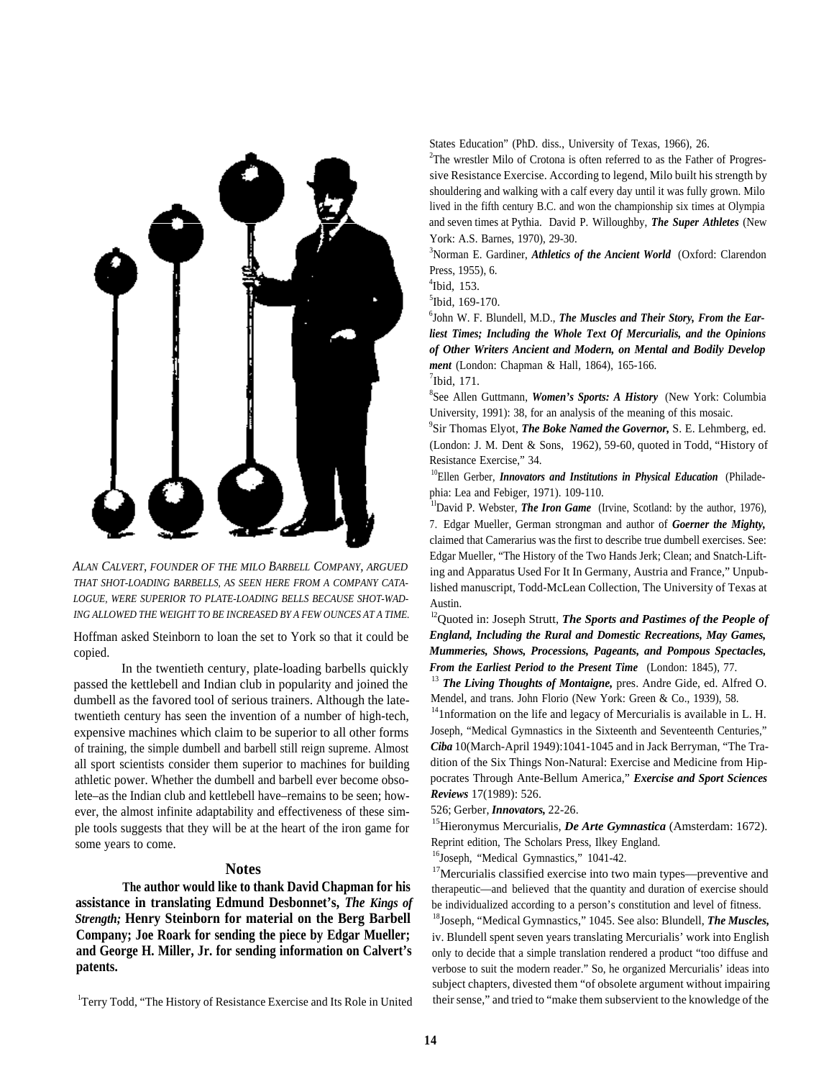

*ALAN CALVERT, FOUNDER OF THE MILO BARBELL COMPANY, ARGUED THAT SHOT-LOADING BARBELLS, AS SEEN HERE FROM A COMPANY CATA-LOGUE, WERE SUPERIOR TO PLATE-LOADING BELLS BECAUSE SHOT-WAD-ING ALLOWED THE WEIGHT TO BE INCREASED BY A FEW OUNCES AT A TIME.*

Hoffman asked Steinborn to loan the set to York so that it could be copied.

In the twentieth century, plate-loading barbells quickly passed the kettlebell and Indian club in popularity and joined the dumbell as the favored tool of serious trainers. Although the latetwentieth century has seen the invention of a number of high-tech, expensive machines which claim to be superior to all other forms of training, the simple dumbell and barbell still reign supreme. Almost all sport scientists consider them superior to machines for building athletic power. Whether the dumbell and barbell ever become obsolete–as the Indian club and kettlebell have–remains to be seen; however, the almost infinite adaptability and effectiveness of these simple tools suggests that they will be at the heart of the iron game for some years to come.

### **Notes**

**The author would like to thank David Chapman for his assistance in translating Edmund Desbonnet's,** *The Kings of Strength;* **Henry Steinborn for material on the Berg Barbell Company; Joe Roark for sending the piece by Edgar Mueller; and George H. Miller, Jr. for sending information on Calvert's patents.**

<sup>1</sup>Terry Todd, "The History of Resistance Exercise and Its Role in United

States Education" (PhD. diss., University of Texas, 1966), 26.

<sup>2</sup>The wrestler Milo of Crotona is often referred to as the Father of Progressive Resistance Exercise. According to legend, Milo built his strength by shouldering and walking with a calf every day until it was fully grown. Milo lived in the fifth century B.C. and won the championship six times at Olympia and seven times at Pythia. David P. Willoughby, *The Super Athletes* (New York: A.S. Barnes, 1970), 29-30.

<sup>3</sup>Norman E. Gardiner, *Athletics of the Ancient World* (Oxford: Clarendon Press, 1955), 6.

4 Ibid, 153.

5 Ibid, 169-170.

6 John W. F. Blundell, M.D., *The Muscles and Their Story, From the Earliest Times; Including the Whole Text Of Mercurialis, and the Opinions of Other Writers Ancient and Modern, on Mental and Bodily Develop ment* (London: Chapman & Hall, 1864), 165-166.  $<sup>7</sup>$ Ibid, 171.</sup>

8 See Allen Guttmann, *Women's Sports: A History* (New York: Columbia University, 1991): 38, for an analysis of the meaning of this mosaic.

9 Sir Thomas Elyot, *The Boke Named the Governor,* S. E. Lehmberg, ed. (London: J. M. Dent & Sons, 1962), 59-60, quoted in Todd, "History of Resistance Exercise," 34.

<sup>10</sup>Ellen Gerber, *Innovators and Institutions in Physical Education* (Philadephia: Lea and Febiger, 1971). 109-110.

<sup>11</sup>David P. Webster, *The Iron Game* (Irvine, Scotland: by the author, 1976), 7. Edgar Mueller, German strongman and author of *Goerner the Mighty,* claimed that Camerarius was the first to describe true dumbell exercises. See: Edgar Mueller, "The History of the Two Hands Jerk; Clean; and Snatch-Lifting and Apparatus Used For It In Germany, Austria and France," Unpublished manuscript, Todd-McLean Collection, The University of Texas at Austin.

<sup>12</sup>Quoted in: Joseph Strutt, *The Sports and Pastimes of the People of England, Including the Rural and Domestic Recreations, May Games, Mummeries, Shows, Processions, Pageants, and Pompous Spectacles, From the Earliest Period to the Present Time* (London: 1845), 77.

<sup>13</sup> *The Living Thoughts of Montaigne*, pres. Andre Gide, ed. Alfred O. Mendel, and trans. John Florio (New York: Green & Co., 1939), 58.

<sup>14</sup>1nformation on the life and legacy of Mercurialis is available in L. H. Joseph, "Medical Gymnastics in the Sixteenth and Seventeenth Centuries," *Ciba* 10(March-April 1949):1041-1045 and in Jack Berryman, "The Tradition of the Six Things Non-Natural: Exercise and Medicine from Hippocrates Through Ante-Bellum America," *Exercise and Sport Sciences Reviews* 17(1989): 526.

526; Gerber, *Innovators,* 22-26.

15Hieronymus Mercurialis, *De Arte Gymnastica* (Amsterdam: 1672). Reprint edition, The Scholars Press, Ilkey England.

<sup>16</sup>Joseph, "Medical Gymnastics," 1041-42.

<sup>17</sup>Mercurialis classified exercise into two main types—preventive and therapeutic—and believed that the quantity and duration of exercise should be individualized according to a person's constitution and level of fitness.

18Joseph, "Medical Gymnastics," 1045. See also: Blundell, *The Muscles,* iv. Blundell spent seven years translating Mercurialis' work into English only to decide that a simple translation rendered a product "too diffuse and verbose to suit the modern reader." So, he organized Mercurialis' ideas into subject chapters, divested them "of obsolete argument without impairing their sense," and tried to "make them subservient to the knowledge of the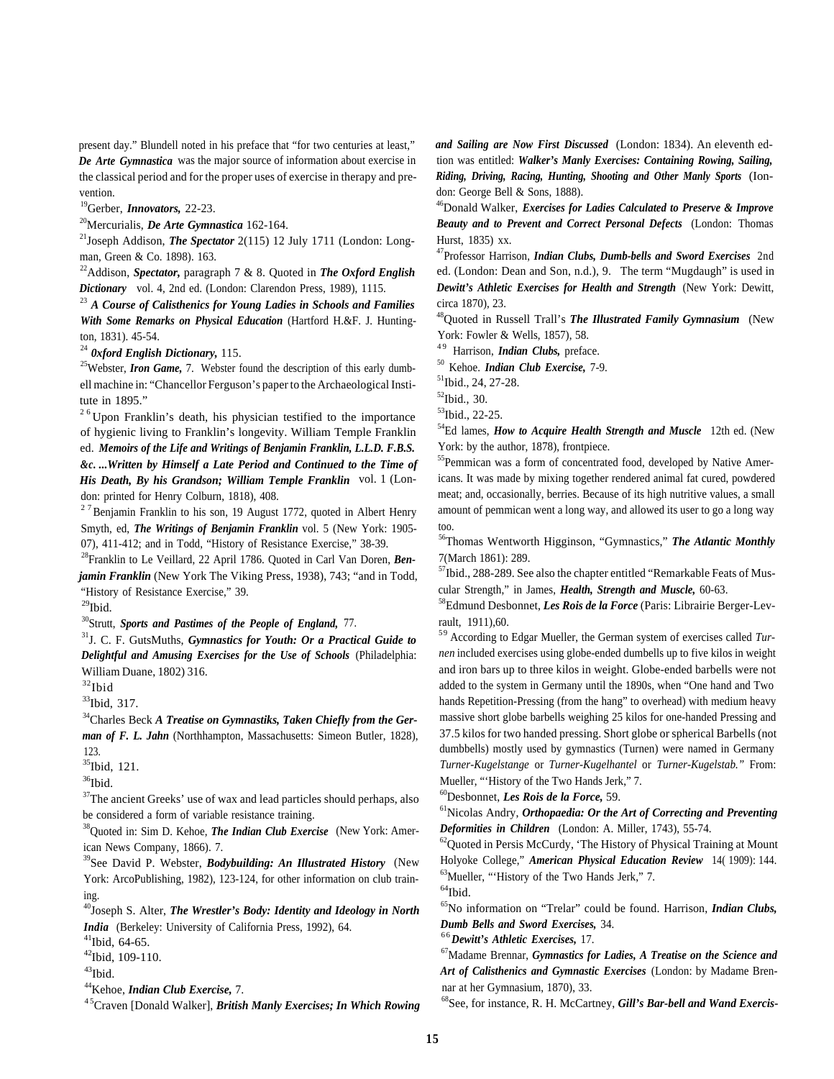present day." Blundell noted in his preface that "for two centuries at least," *De Arte Gymnastica* was the major source of information about exercise in the classical period and for the proper uses of exercise in therapy and prevention.

19Gerber, *Innovators,* 22-23.

20Mercurialis, *De Arte Gymnastica* 162-164.

21Joseph Addison, *The Spectator* 2(115) 12 July 1711 (London: Longman, Green & Co. 1898). 163.

22Addison, *Spectator,* paragraph 7 & 8. Quoted in *The Oxford English Dictionary* vol. 4, 2nd ed. (London: Clarendon Press, 1989), 1115.

<sup>23</sup> *A Course of Calisthenics for Young Ladies in Schools and Families With Some Remarks on Physical Education* (Hartford H.&F. J. Huntington, 1831). 45-54.

<sup>24</sup> *0xford English Dictionary,* 115.

<sup>25</sup>Webster, *Iron Game*, 7. Webster found the description of this early dumbell machine in: "Chancellor Ferguson's paper to the Archaeological Institute in 1895."

 $2<sup>6</sup>$  Upon Franklin's death, his physician testified to the importance of hygienic living to Franklin's longevity. William Temple Franklin ed. *Memoirs of the Life and Writings of Benjamin Franklin, L.L.D. F.B.S. &c. ...Written by Himself a Late Period and Continued to the Time of His Death, By his Grandson; William Temple Franklin* vol. 1 (London: printed for Henry Colburn, 1818), 408.

 $27$ Benjamin Franklin to his son, 19 August 1772, quoted in Albert Henry Smyth, ed, *The Writings of Benjamin Franklin* vol. 5 (New York: 1905- 07), 411-412; and in Todd, "History of Resistance Exercise," 38-39.

28Franklin to Le Veillard, 22 April 1786. Quoted in Carl Van Doren, *Benjamin Franklin* (New York The Viking Press, 1938), 743; "and in Todd, "History of Resistance Exercise," 39.

 $^{29}\mathrm{Ibid.}$ 

30Strutt, *Sports and Pastimes of the People of England,* 77.

31J. C. F. GutsMuths, *Gymnastics for Youth: Or a Practical Guide to Delightful and Amusing Exercises for the Use of Schools* (Philadelphia: William Duane, 1802) 316.

 $\rm{^{32}Ibid}$ 

<sup>33</sup>Ibid, 317.

34Charles Beck *A Treatise on Gymnastiks, Taken Chiefly from the German of F. L. Jahn* (Northhampton, Massachusetts: Simeon Butler, 1828), 123.

35Ibid, 121.

 $36$ Ibid.

<sup>37</sup>The ancient Greeks' use of wax and lead particles should perhaps, also be considered a form of variable resistance training.

<sup>38</sup>Quoted in: Sim D. Kehoe, *The Indian Club Exercise* (New York: American News Company, 1866). 7.

39See David P. Webster, *Bodybuilding: An Illustrated History* (New York: ArcoPublishing, 1982), 123-124, for other information on club training.

40Joseph S. Alter, *The Wrestler's Body: Identity and Ideology in North India* (Berkeley: University of California Press, 1992), 64.

 $41$ Ibid, 64-65.

42Ibid, 109-110.

 $43$ Ibid.

44Kehoe, *Indian Club Exercise,* 7.

<sup>45</sup>Craven [Donald Walker], *British Manly Exercises; In Which Rowing* 

*and Sailing are Now First Discussed* (London: 1834). An eleventh edtion was entitled: *Walker's Manly Exercises: Containing Rowing, Sailing, Riding, Driving, Racing, Hunting, Shooting and Other Manly Sports* (Iondon: George Bell & Sons, 1888).

46Donald Walker, *Exercises for Ladies Calculated to Preserve & Improve Beauty and to Prevent and Correct Personal Defects* (London: Thomas Hurst, 1835) xx.

47Professor Harrison, *Indian Clubs, Dumb-bells and Sword Exercises* 2nd ed. (London: Dean and Son, n.d.), 9. The term "Mugdaugh" is used in *Dewitt's Athletic Exercises for Health and Strength* (New York: Dewitt, circa 1870), 23.

48Quoted in Russell Trall's *The Illustrated Family Gymnasium* (New York: Fowler & Wells, 1857), 58.

<sup>49</sup> Harrison, *Indian Clubs*, preface.

50 Kehoe. *Indian Club Exercise,* 7-9.

51Ibid., 24, 27-28.

52Ibid., 30.

 $53$ Ibid., 22-25.

<sup>54</sup>Ed lames, *How to Acquire Health Strength and Muscle* 12th ed. (New York: by the author, 1878), frontpiece.

<sup>55</sup>Pemmican was a form of concentrated food, developed by Native Americans. It was made by mixing together rendered animal fat cured, powdered meat; and, occasionally, berries. Because of its high nutritive values, a small amount of pemmican went a long way, and allowed its user to go a long way too.

56Thomas Wentworth Higginson, "Gymnastics," *The Atlantic Monthly* 7(March 1861): 289.

<sup>57</sup>Ibid., 288-289. See also the chapter entitled "Remarkable Feats of Muscular Strength," in James, *Health, Strength and Muscle,* 60-63.

58Edmund Desbonnet, *Les Rois de la Force* (Paris: Librairie Berger-Levrault, 1911),60.

5 9 According to Edgar Mueller, the German system of exercises called *Turnen* included exercises using globe-ended dumbells up to five kilos in weight and iron bars up to three kilos in weight. Globe-ended barbells were not added to the system in Germany until the 1890s, when "One hand and Two hands Repetition-Pressing (from the hang" to overhead) with medium heavy massive short globe barbells weighing 25 kilos for one-handed Pressing and 37.5 kilos for two handed pressing. Short globe or spherical Barbells (not dumbbells) mostly used by gymnastics (Turnen) were named in Germany *Turner-Kugelstange* or *Turner-Kugelhantel* or *Turner-Kugelstab."* From: Mueller, "'History of the Two Hands Jerk," 7.

60Desbonnet, *Les Rois de la Force,* 59.

61Nicolas Andry, *Orthopaedia: Or the Art of Correcting and Preventing Deformities in Children* (London: A. Miller, 1743), 55-74.

 $^{62}$ Quoted in Persis McCurdy, 'The History of Physical Training at Mount Holyoke College," *American Physical Education Review* 14( 1909): 144. 63Mueller, "'History of the Two Hands Jerk," 7.

 $\rm ^{64}Ibid.$ 

65No information on "Trelar" could be found. Harrison, *Indian Clubs, Dumb Bells and Sword Exercises,* 34.

6 6*Dewitt's Athletic Exercises,* 17.

67Madame Brennar, *Gymnastics for Ladies, A Treatise on the Science and Art of Calisthenics and Gymnastic Exercises* (London: by Madame Brennar at her Gymnasium, 1870), 33.

68See, for instance, R. H. McCartney, *Gill's Bar-bell and Wand Exercis-*